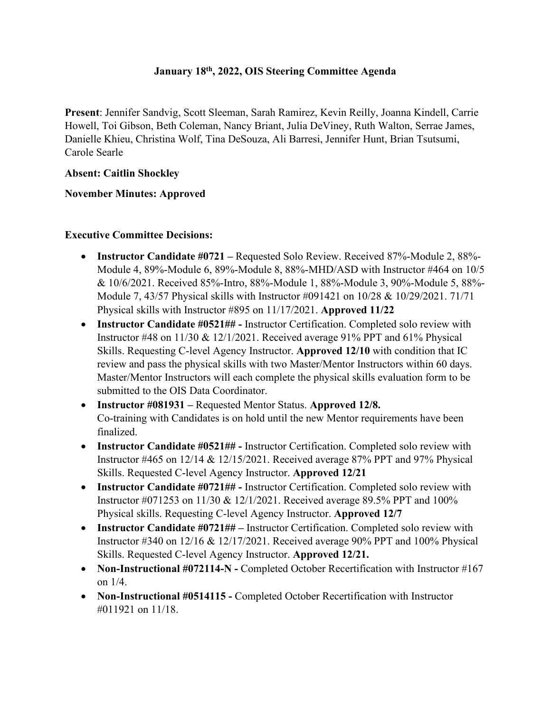### **January 18th, 2022, OIS Steering Committee Agenda**

**Present**: Jennifer Sandvig, Scott Sleeman, Sarah Ramirez, Kevin Reilly, Joanna Kindell, Carrie Howell, Toi Gibson, Beth Coleman, Nancy Briant, Julia DeViney, Ruth Walton, Serrae James, Danielle Khieu, Christina Wolf, Tina DeSouza, Ali Barresi, Jennifer Hunt, Brian Tsutsumi, Carole Searle

### **Absent: Caitlin Shockley**

### **November Minutes: Approved**

### **Executive Committee Decisions:**

- **Instructor Candidate #0721 –** Requested Solo Review. Received 87%-Module 2, 88%- Module 4, 89%-Module 6, 89%-Module 8, 88%-MHD/ASD with Instructor #464 on 10/5 & 10/6/2021. Received 85%-Intro, 88%-Module 1, 88%-Module 3, 90%-Module 5, 88%- Module 7, 43/57 Physical skills with Instructor #091421 on 10/28 & 10/29/2021. 71/71 Physical skills with Instructor #895 on 11/17/2021. **Approved 11/22**
- **Instructor Candidate #0521## -** Instructor Certification. Completed solo review with Instructor #48 on 11/30 & 12/1/2021. Received average 91% PPT and 61% Physical Skills. Requesting C-level Agency Instructor. **Approved 12/10** with condition that IC review and pass the physical skills with two Master/Mentor Instructors within 60 days. Master/Mentor Instructors will each complete the physical skills evaluation form to be submitted to the OIS Data Coordinator.
- **Instructor #081931 –** Requested Mentor Status. **Approved 12/8.**  Co-training with Candidates is on hold until the new Mentor requirements have been finalized.
- **Instructor Candidate #0521## -** Instructor Certification. Completed solo review with Instructor #465 on 12/14 & 12/15/2021. Received average 87% PPT and 97% Physical Skills. Requested C-level Agency Instructor. **Approved 12/21**
- **Instructor Candidate #0721## -** Instructor Certification. Completed solo review with Instructor #071253 on 11/30 & 12/1/2021. Received average 89.5% PPT and 100% Physical skills. Requesting C-level Agency Instructor. **Approved 12/7**
- **Instructor Candidate #0721## –** Instructor Certification. Completed solo review with Instructor #340 on 12/16 & 12/17/2021. Received average 90% PPT and 100% Physical Skills. Requested C-level Agency Instructor. **Approved 12/21.**
- **Non-Instructional #072114-N** Completed October Recertification with Instructor #167 on 1/4.
- **Non-Instructional #0514115 -** Completed October Recertification with Instructor #011921 on 11/18.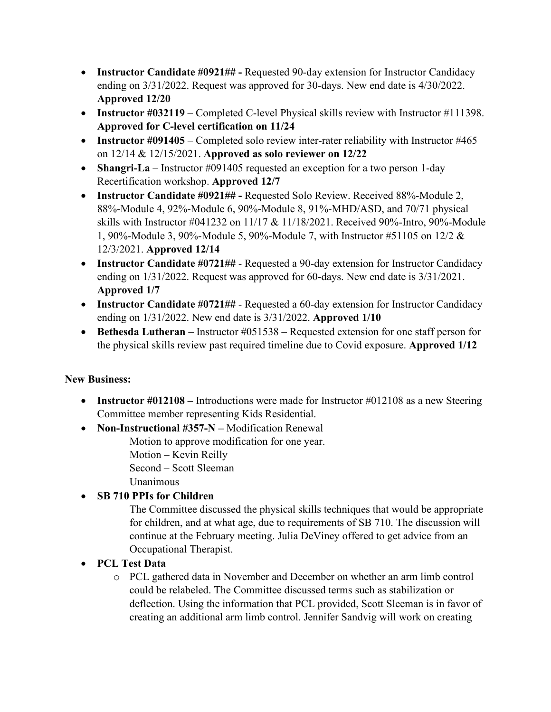- **Instructor Candidate #0921## -** Requested 90-day extension for Instructor Candidacy ending on 3/31/2022. Request was approved for 30-days. New end date is 4/30/2022. **Approved 12/20**
- **Instructor #032119** Completed C-level Physical skills review with Instructor #111398. **Approved for C-level certification on 11/24**
- **Instructor #091405** Completed solo review inter-rater reliability with Instructor #465 on 12/14 & 12/15/2021. **Approved as solo reviewer on 12/22**
- **Shangri-La** Instructor #091405 requested an exception for a two person 1-day Recertification workshop. **Approved 12/7**
- **Instructor Candidate #0921## -** Requested Solo Review. Received 88%-Module 2, 88%-Module 4, 92%-Module 6, 90%-Module 8, 91%-MHD/ASD, and 70/71 physical skills with Instructor #041232 on 11/17 & 11/18/2021. Received 90%-Intro, 90%-Module 1, 90%-Module 3, 90%-Module 5, 90%-Module 7, with Instructor #51105 on 12/2 & 12/3/2021. **Approved 12/14**
- **Instructor Candidate #0721##** Requested a 90-day extension for Instructor Candidacy ending on 1/31/2022. Request was approved for 60-days. New end date is 3/31/2021. **Approved 1/7**
- **Instructor Candidate #0721##** Requested a 60-day extension for Instructor Candidacy ending on 1/31/2022. New end date is 3/31/2022. **Approved 1/10**
- **Bethesda Lutheran** Instructor #051538 Requested extension for one staff person for the physical skills review past required timeline due to Covid exposure. **Approved 1/12**

## **New Business:**

- **Instructor #012108** Introductions were made for Instructor #012108 as a new Steering Committee member representing Kids Residential.
- **Non-Instructional #357-N –** Modification Renewal

Motion to approve modification for one year.

Motion – Kevin Reilly

Second – Scott Sleeman

Unanimous

## • **SB 710 PPIs for Children**

The Committee discussed the physical skills techniques that would be appropriate for children, and at what age, due to requirements of SB 710. The discussion will continue at the February meeting. Julia DeViney offered to get advice from an Occupational Therapist.

- **PCL Test Data**
	- o PCL gathered data in November and December on whether an arm limb control could be relabeled. The Committee discussed terms such as stabilization or deflection. Using the information that PCL provided, Scott Sleeman is in favor of creating an additional arm limb control. Jennifer Sandvig will work on creating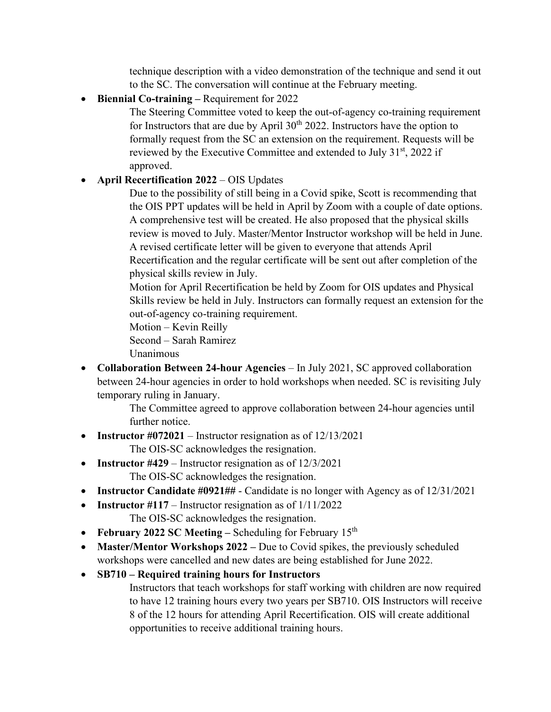technique description with a video demonstration of the technique and send it out to the SC. The conversation will continue at the February meeting.

• **Biennial Co-training –** Requirement for 2022

The Steering Committee voted to keep the out-of-agency co-training requirement for Instructors that are due by April  $30<sup>th</sup> 2022$ . Instructors have the option to formally request from the SC an extension on the requirement. Requests will be reviewed by the Executive Committee and extended to July 31<sup>st</sup>, 2022 if approved.

### • **April Recertification 2022** – OIS Updates

Due to the possibility of still being in a Covid spike, Scott is recommending that the OIS PPT updates will be held in April by Zoom with a couple of date options. A comprehensive test will be created. He also proposed that the physical skills review is moved to July. Master/Mentor Instructor workshop will be held in June. A revised certificate letter will be given to everyone that attends April Recertification and the regular certificate will be sent out after completion of the physical skills review in July.

Motion for April Recertification be held by Zoom for OIS updates and Physical Skills review be held in July. Instructors can formally request an extension for the out-of-agency co-training requirement.

Motion – Kevin Reilly

Second – Sarah Ramirez

Unanimous

• **Collaboration Between 24-hour Agencies** – In July 2021, SC approved collaboration between 24-hour agencies in order to hold workshops when needed. SC is revisiting July temporary ruling in January.

> The Committee agreed to approve collaboration between 24-hour agencies until further notice.

• **Instructor #072021** – Instructor resignation as of 12/13/2021

The OIS-SC acknowledges the resignation.

- **Instructor #429** Instructor resignation as of  $12/3/2021$ The OIS-SC acknowledges the resignation.
- **Instructor Candidate #0921##** Candidate is no longer with Agency as of 12/31/2021
- **Instructor #117** Instructor resignation as of  $1/11/2022$ 
	- The OIS-SC acknowledges the resignation.
- **February 2022 SC Meeting** Scheduling for February 15<sup>th</sup>
- **Master/Mentor Workshops 2022 Due** to Covid spikes, the previously scheduled workshops were cancelled and new dates are being established for June 2022.
- **SB710 – Required training hours for Instructors**

Instructors that teach workshops for staff working with children are now required to have 12 training hours every two years per SB710. OIS Instructors will receive 8 of the 12 hours for attending April Recertification. OIS will create additional opportunities to receive additional training hours.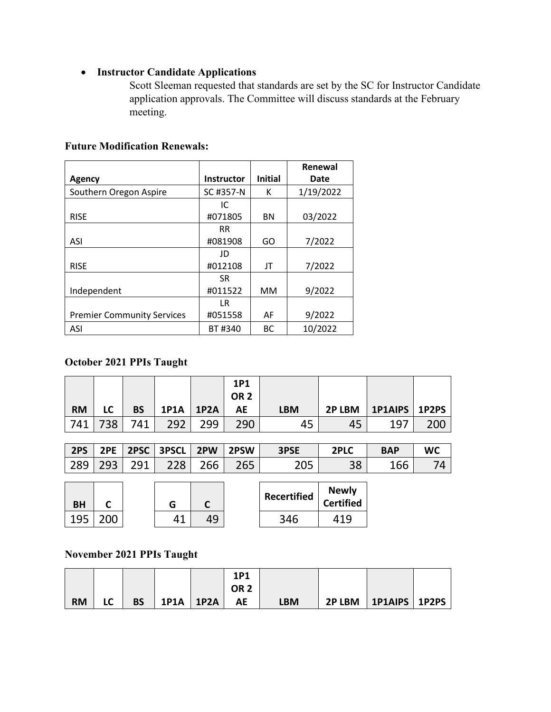# • **Instructor Candidate Applications**

Scott Sleeman requested that standards are set by the SC for Instructor Candidate application approvals. The Committee will discuss standards at the February meeting.

| <b>Future Modification Renewals:</b> |  |
|--------------------------------------|--|
|--------------------------------------|--|

|                                   |                   |                | Renewal   |
|-----------------------------------|-------------------|----------------|-----------|
| Agency                            | <b>Instructor</b> | <b>Initial</b> | Date      |
| Southern Oregon Aspire            | SC #357-N         | К              | 1/19/2022 |
|                                   | IC                |                |           |
| <b>RISE</b>                       | #071805           | <b>BN</b>      | 03/2022   |
|                                   | <b>RR</b>         |                |           |
| ASI                               | #081908           | GO             | 7/2022    |
|                                   | JD                |                |           |
| <b>RISE</b>                       | #012108           | JT             | 7/2022    |
|                                   | <b>SR</b>         |                |           |
| Independent                       | #011522           | <b>MM</b>      | 9/2022    |
|                                   | <b>LR</b>         |                |           |
| <b>Premier Community Services</b> | #051558           | AF             | 9/2022    |
| ASI                               | BT#340            | <b>BC</b>      | 10/2022   |

### **October 2021 PPIs Taught**

|           |     |           |             |      | <b>1P1</b>      |            |        |                 |     |
|-----------|-----|-----------|-------------|------|-----------------|------------|--------|-----------------|-----|
|           |     |           |             |      | OR <sub>2</sub> |            |        |                 |     |
| <b>RM</b> | LC  | <b>BS</b> | <b>1P1A</b> | 1P2A | АE              | <b>LBM</b> | 2P LBM | 1P1AIPS   1P2PS |     |
| 741       | 738 | 741       | 292         | 299  | 290             | 45         | 45     | 197             | 200 |

| 2PS           | 2PE |     | 2PSC   3PSCL   2PW |     | 2PSW | 3PSE | 2PLC | <b>BAP</b> | WC |
|---------------|-----|-----|--------------------|-----|------|------|------|------------|----|
| $ 289\rangle$ | 293 | 791 | 228                | 266 | 265  | 205  | 38   | 166        |    |

| <b>BH</b> |  | G     |    | Recertified | <b>Newly</b><br><b>Certified</b> |
|-----------|--|-------|----|-------------|----------------------------------|
| 195       |  | л - 1 | 49 | 346         | 1 Q                              |

### **November 2021 PPIs Taught**

|           |    |           |             | 1P1  |     |        |                       |  |
|-----------|----|-----------|-------------|------|-----|--------|-----------------------|--|
|           |    |           |             | OR 2 |     |        |                       |  |
| <b>RM</b> | LC | <b>BS</b> | 1P1A   1P2A | AE   | LBM | 2P LBM | $ $ 1P1AIPS $ $ 1P2PS |  |